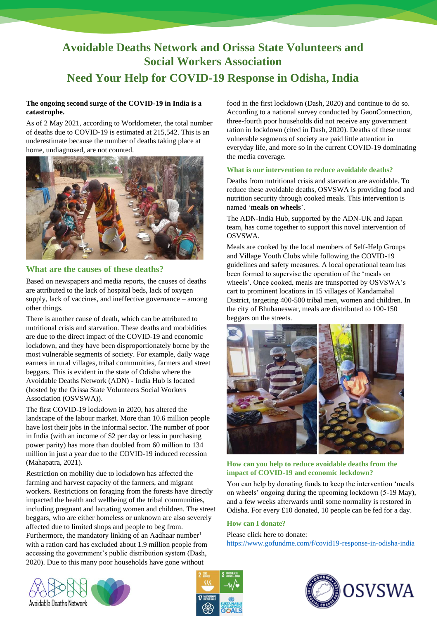# **Avoidable Deaths Network and Orissa State Volunteers and Social Workers Association Need Your Help for COVID-19 Response in Odisha, India**

## **The ongoing second surge of the COVID-19 in India is a catastrophe.**

As of 2 May 2021, according to Worldometer, the total number of deaths due to COVID-19 is estimated at 215,542. This is an underestimate because the number of deaths taking place at home, undiagnosed, are not counted.



## **What are the causes of these deaths?**

Based on newspapers and media reports, the causes of deaths are attributed to the lack of hospital beds, lack of oxygen supply, lack of vaccines, and ineffective governance – among other things.

There is another cause of death, which can be attributed to nutritional crisis and starvation. These deaths and morbidities are due to the direct impact of the COVID-19 and economic lockdown, and they have been disproportionately borne by the most vulnerable segments of society. For example, daily wage earners in rural villages, tribal communities, farmers and street beggars. This is evident in the state of Odisha where the Avoidable Deaths Network (ADN) - India Hub is located (hosted by the Orissa State Volunteers Social Workers Association (OSVSWA)).

The first COVID-19 lockdown in 2020, has altered the landscape of the labour market. More than 10.6 million people have lost their jobs in the informal sector. The number of poor in India (with an income of \$2 per day or less in purchasing power parity) has more than doubled from 60 million to 134 million in just a year due to the COVID-19 induced recession (Mahapatra, 2021).

Restriction on mobility due to lockdown has affected the farming and harvest capacity of the farmers, and migrant workers. Restrictions on foraging from the forests have directly impacted the health and wellbeing of the tribal communities, including pregnant and lactating women and children. The street beggars, who are either homeless or unknown are also severely affected due to limited shops and people to beg from. Furthermore, the mandatory linking of an Aadhaar number<sup>1</sup> with a ration card has excluded about 1.9 million people from accessing the government's public distribution system (Dash, 2020). Due to this many poor households have gone without

food in the first lockdown (Dash, 2020) and continue to do so. According to a national survey conducted by GaonConnection, three-fourth poor households did not receive any government ration in lockdown (cited in Dash, 2020). Deaths of these most vulnerable segments of society are paid little attention in everyday life, and more so in the current COVID-19 dominating the media coverage.

## **What is our intervention to reduce avoidable deaths?**

Deaths from nutritional crisis and starvation are avoidable. To reduce these avoidable deaths, OSVSWA is providing food and nutrition security through cooked meals. This intervention is named '**meals on wheels**'.

The ADN-India Hub, supported by the ADN-UK and Japan team, has come together to support this novel intervention of OSVSWA.

Meals are cooked by the local members of Self-Help Groups and Village Youth Clubs while following the COVID-19 guidelines and safety measures. A local operational team has been formed to supervise the operation of the 'meals on wheels'. Once cooked, meals are transported by OSVSWA's cart to prominent locations in 15 villages of Kandamahal District, targeting 400-500 tribal men, women and children. In the city of Bhubaneswar, meals are distributed to 100-150 beggars on the streets.



**How can you help to reduce avoidable deaths from the impact of COVID-19 and economic lockdown?**

You can help by donating funds to keep the intervention 'meals on wheels' ongoing during the upcoming lockdown (5-19 May), and a few weeks afterwards until some normality is restored in Odisha. For every £10 donated, 10 people can be fed for a day.

### **How can I donate?**

Please click here to donate: <https://www.gofundme.com/f/covid19-response-in-odisha-india>